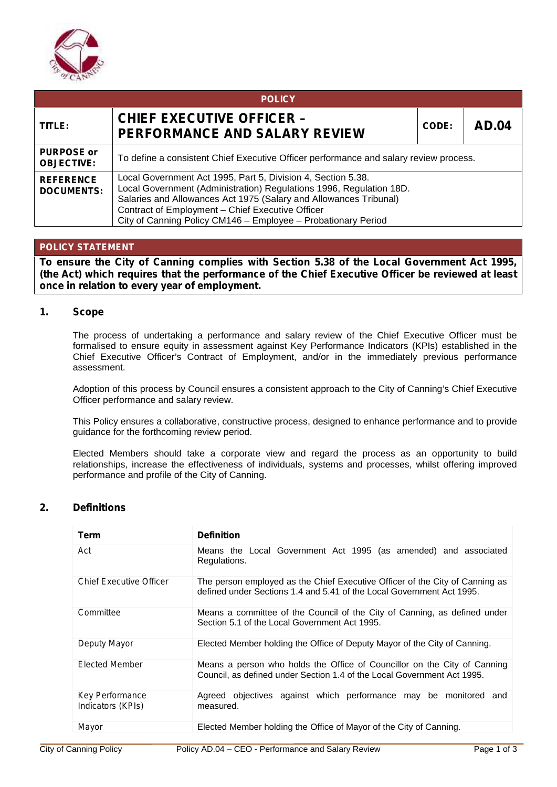

| <b>POLICY</b>                          |                                                                                                                                                                                                                                                                                                                               |       |              |  |  |
|----------------------------------------|-------------------------------------------------------------------------------------------------------------------------------------------------------------------------------------------------------------------------------------------------------------------------------------------------------------------------------|-------|--------------|--|--|
| TITLE:                                 | <b>CHIEF EXECUTIVE OFFICER -</b><br><b>PERFORMANCE AND SALARY REVIEW</b>                                                                                                                                                                                                                                                      | CODE: | <b>AD.04</b> |  |  |
| <b>PURPOSE or</b><br><b>OBJECTIVE:</b> | To define a consistent Chief Executive Officer performance and salary review process.                                                                                                                                                                                                                                         |       |              |  |  |
| <b>REFERENCE</b><br><b>DOCUMENTS:</b>  | Local Government Act 1995, Part 5, Division 4, Section 5.38.<br>Local Government (Administration) Regulations 1996, Regulation 18D.<br>Salaries and Allowances Act 1975 (Salary and Allowances Tribunal)<br>Contract of Employment - Chief Executive Officer<br>City of Canning Policy CM146 - Employee - Probationary Period |       |              |  |  |

# **POLICY STATEMENT**

**To ensure the City of Canning complies with Section 5.38 of the Local Government Act 1995, (***the Act***) which requires that the performance of the Chief Executive Officer be reviewed at least once in relation to every year of employment.**

### **1. Scope**

The process of undertaking a performance and salary review of the Chief Executive Officer must be formalised to ensure equity in assessment against Key Performance Indicators (KPIs) established in the Chief Executive Officer's Contract of Employment, and/or in the immediately previous performance assessment.

Adoption of this process by Council ensures a consistent approach to the City of Canning's Chief Executive Officer performance and salary review.

This Policy ensures a collaborative, constructive process, designed to enhance performance and to provide guidance for the forthcoming review period.

Elected Members should take a corporate view and regard the process as an opportunity to build relationships, increase the effectiveness of individuals, systems and processes, whilst offering improved performance and profile of the City of Canning.

# **2. Definitions**

| Term                                        | <b>Definition</b>                                                                                                                                     |  |  |
|---------------------------------------------|-------------------------------------------------------------------------------------------------------------------------------------------------------|--|--|
| Act                                         | Means the Local Government Act 1995 (as amended) and associated<br>Regulations.                                                                       |  |  |
| <b>Chief Executive Officer</b>              | The person employed as the Chief Executive Officer of the City of Canning as<br>defined under Sections 1.4 and 5.41 of the Local Government Act 1995. |  |  |
| Committee                                   | Means a committee of the Council of the City of Canning, as defined under<br>Section 5.1 of the Local Government Act 1995.                            |  |  |
| Deputy Mayor                                | Elected Member holding the Office of Deputy Mayor of the City of Canning.                                                                             |  |  |
| <b>Flected Member</b>                       | Means a person who holds the Office of Councillor on the City of Canning<br>Council, as defined under Section 1.4 of the Local Government Act 1995.   |  |  |
| <b>Key Performance</b><br>Indicators (KPIs) | Agreed objectives against which performance may be monitored and<br>measured.                                                                         |  |  |
| Mayor                                       | Elected Member holding the Office of Mayor of the City of Canning.                                                                                    |  |  |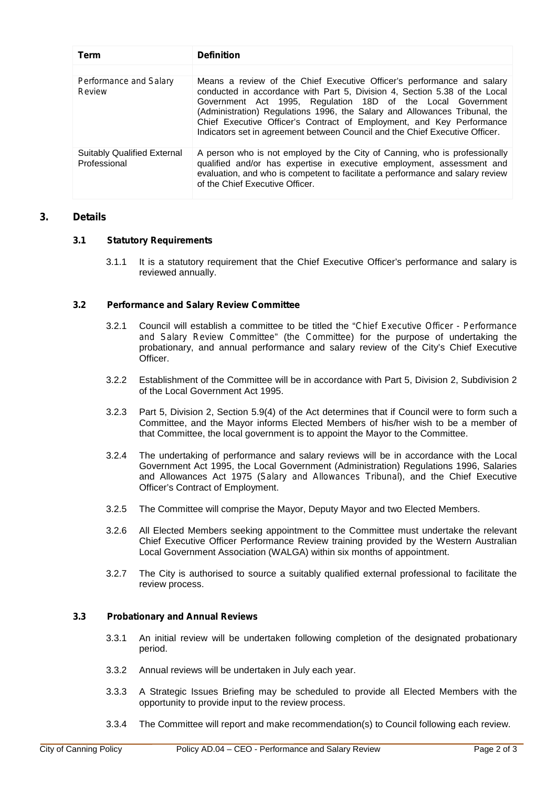| Term                                               | <b>Definition</b>                                                                                                                                                                                                                                                                                                                                                                                                                                          |
|----------------------------------------------------|------------------------------------------------------------------------------------------------------------------------------------------------------------------------------------------------------------------------------------------------------------------------------------------------------------------------------------------------------------------------------------------------------------------------------------------------------------|
| Performance and Salary<br>Review                   | Means a review of the Chief Executive Officer's performance and salary<br>conducted in accordance with Part 5, Division 4, Section 5.38 of the Local<br>Government Act 1995, Regulation 18D of the Local Government<br>(Administration) Regulations 1996, the Salary and Allowances Tribunal, the<br>Chief Executive Officer's Contract of Employment, and Key Performance<br>Indicators set in agreement between Council and the Chief Executive Officer. |
| <b>Suitably Qualified External</b><br>Professional | A person who is not employed by the City of Canning, who is professionally<br>qualified and/or has expertise in executive employment, assessment and<br>evaluation, and who is competent to facilitate a performance and salary review<br>of the Chief Executive Officer.                                                                                                                                                                                  |

# **3. Details**

### *3.1 Statutory Requirements*

3.1.1 It is a statutory requirement that the Chief Executive Officer's performance and salary is reviewed annually.

### *3.2 Performance and Salary Review Committee*

- 3.2.1 Council will establish a committee to be titled the "*Chief Executive Officer - Performance and Salary Review Committee*" (*the Committee*) for the purpose of undertaking the probationary, and annual performance and salary review of the City's Chief Executive Officer.
- 3.2.2 Establishment of the Committee will be in accordance with Part 5, Division 2, Subdivision 2 of the Local Government Act 1995.
- 3.2.3 Part 5, Division 2, Section 5.9(4) of the Act determines that if Council were to form such a Committee, and the Mayor informs Elected Members of his/her wish to be a member of that Committee, the local government is to appoint the Mayor to the Committee.
- 3.2.4 The undertaking of performance and salary reviews will be in accordance with the Local Government Act 1995, the Local Government (Administration) Regulations 1996, Salaries and Allowances Act 1975 (*Salary and Allowances Tribunal*), and the Chief Executive Officer's Contract of Employment.
- 3.2.5 The Committee will comprise the Mayor, Deputy Mayor and two Elected Members.
- 3.2.6 All Elected Members seeking appointment to the Committee must undertake the relevant Chief Executive Officer Performance Review training provided by the Western Australian Local Government Association (WALGA) within six months of appointment.
- 3.2.7 The City is authorised to source a suitably qualified external professional to facilitate the review process.

### *3.3 Probationary and Annual Reviews*

- 3.3.1 An initial review will be undertaken following completion of the designated probationary period.
- 3.3.2 Annual reviews will be undertaken in July each year.
- 3.3.3 A Strategic Issues Briefing may be scheduled to provide all Elected Members with the opportunity to provide input to the review process.
- 3.3.4 The Committee will report and make recommendation(s) to Council following each review.